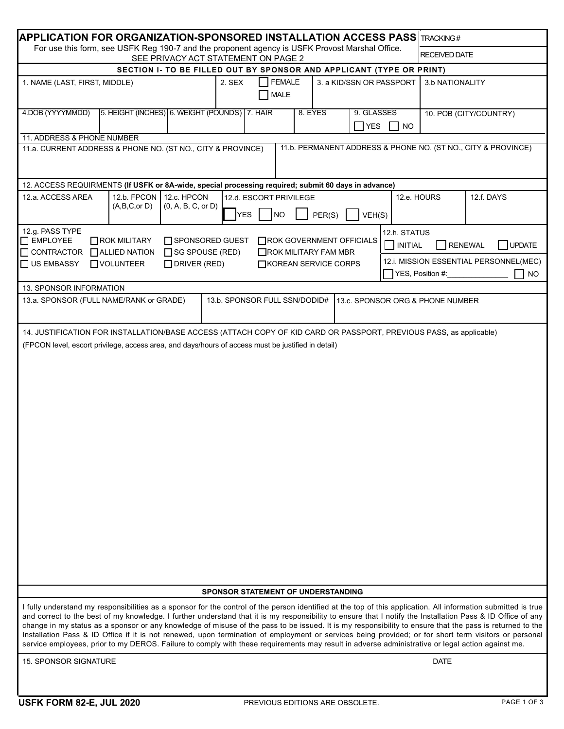| $\,$ APPLICATION FOR ORGANIZATION-SPONSORED INSTALLATION ACCESS PASS $\,$ I $_{\rm FACKING\,\#}$                                      |                                                                                                                                                                                                            |                                                                                                                                                                                                                                                                                                                                                                                                                                                                                                                                                                                                                                                                                                                                                                                                        |                                                   |         |        |                                  |                                                                         |                                 |                        |  |
|---------------------------------------------------------------------------------------------------------------------------------------|------------------------------------------------------------------------------------------------------------------------------------------------------------------------------------------------------------|--------------------------------------------------------------------------------------------------------------------------------------------------------------------------------------------------------------------------------------------------------------------------------------------------------------------------------------------------------------------------------------------------------------------------------------------------------------------------------------------------------------------------------------------------------------------------------------------------------------------------------------------------------------------------------------------------------------------------------------------------------------------------------------------------------|---------------------------------------------------|---------|--------|----------------------------------|-------------------------------------------------------------------------|---------------------------------|------------------------|--|
| For use this form, see USFK Reg 190-7 and the proponent agency is USFK Provost Marshal Office.<br>SEE PRIVACY ACT STATEMENT ON PAGE 2 |                                                                                                                                                                                                            |                                                                                                                                                                                                                                                                                                                                                                                                                                                                                                                                                                                                                                                                                                                                                                                                        |                                                   |         |        |                                  |                                                                         | <b>RECEIVED DATE</b>            |                        |  |
|                                                                                                                                       |                                                                                                                                                                                                            | SECTION I- TO BE FILLED OUT BY SPONSOR AND APPLICANT (TYPE OR PRINT)                                                                                                                                                                                                                                                                                                                                                                                                                                                                                                                                                                                                                                                                                                                                   |                                                   |         |        |                                  |                                                                         |                                 |                        |  |
| 1. NAME (LAST, FIRST, MIDDLE)                                                                                                         |                                                                                                                                                                                                            | 2. SEX                                                                                                                                                                                                                                                                                                                                                                                                                                                                                                                                                                                                                                                                                                                                                                                                 | <b>FEMALE</b><br><b>MALE</b>                      |         |        | 3. a KID/SSN OR PASSPORT         |                                                                         | 3.b NATIONALITY                 |                        |  |
| 4.DOB (YYYYMMDD)                                                                                                                      |                                                                                                                                                                                                            | 5. HEIGHT (INCHES) 6. WEIGHT (POUNDS) 7. HAIR                                                                                                                                                                                                                                                                                                                                                                                                                                                                                                                                                                                                                                                                                                                                                          |                                                   | 8. EYES |        | 9. GLASSES<br>$\exists$ YES      | $\blacksquare$ NO                                                       |                                 | 10. POB (CITY/COUNTRY) |  |
| 11. ADDRESS & PHONE NUMBER                                                                                                            |                                                                                                                                                                                                            |                                                                                                                                                                                                                                                                                                                                                                                                                                                                                                                                                                                                                                                                                                                                                                                                        |                                                   |         |        |                                  |                                                                         |                                 |                        |  |
| 11.b. PERMANENT ADDRESS & PHONE NO. (ST NO., CITY & PROVINCE)<br>11.a. CURRENT ADDRESS & PHONE NO. (ST NO., CITY & PROVINCE)          |                                                                                                                                                                                                            |                                                                                                                                                                                                                                                                                                                                                                                                                                                                                                                                                                                                                                                                                                                                                                                                        |                                                   |         |        |                                  |                                                                         |                                 |                        |  |
| 12. ACCESS REQUIRMENTS (If USFK or 8A-wide, special processing required; submit 60 days in advance)                                   |                                                                                                                                                                                                            |                                                                                                                                                                                                                                                                                                                                                                                                                                                                                                                                                                                                                                                                                                                                                                                                        |                                                   |         |        |                                  |                                                                         |                                 |                        |  |
| 12.a. ACCESS AREA                                                                                                                     | 12.b. FPCON<br>(A,B,C,or D)                                                                                                                                                                                | 12.c. HPCON<br>(0, A, B, C, or D)                                                                                                                                                                                                                                                                                                                                                                                                                                                                                                                                                                                                                                                                                                                                                                      | 12.d. ESCORT PRIVILEGE<br><b>NO</b><br><b>YES</b> |         | PER(S) | VEH(S)                           | 12.e. HOURS                                                             |                                 | 12.f. DAYS             |  |
| 12.g. PASS TYPE<br>EMPLOYEE                                                                                                           | 12.h. STATUS<br>$\Box$ ROK MILITARY<br>SPONSORED GUEST<br>ROK GOVERNMENT OFFICIALS<br>$\overline{\phantom{a}}$ INITIAL<br>□ CONTRACTOR □ ALLIED NATION<br>□ SG SPOUSE (RED)<br>$\Box$ ROK MILITARY FAM MBR |                                                                                                                                                                                                                                                                                                                                                                                                                                                                                                                                                                                                                                                                                                                                                                                                        |                                                   |         |        |                                  |                                                                         | <b>RENEWAL</b><br><b>UPDATE</b> |                        |  |
| US EMBASSY                                                                                                                            | <b>NOLUNTEER</b><br>$D$ RIVER (RED)<br>□KOREAN SERVICE CORPS                                                                                                                                               |                                                                                                                                                                                                                                                                                                                                                                                                                                                                                                                                                                                                                                                                                                                                                                                                        |                                                   |         |        |                                  | 12.i. MISSION ESSENTIAL PERSONNEL(MEC)<br>YES, Position #:<br><b>NO</b> |                                 |                        |  |
| 13. SPONSOR INFORMATION                                                                                                               |                                                                                                                                                                                                            |                                                                                                                                                                                                                                                                                                                                                                                                                                                                                                                                                                                                                                                                                                                                                                                                        |                                                   |         |        |                                  |                                                                         |                                 |                        |  |
| 13.a. SPONSOR (FULL NAME/RANK or GRADE)                                                                                               |                                                                                                                                                                                                            |                                                                                                                                                                                                                                                                                                                                                                                                                                                                                                                                                                                                                                                                                                                                                                                                        | 13.b. SPONSOR FULL SSN/DODID#                     |         |        | 13.c. SPONSOR ORG & PHONE NUMBER |                                                                         |                                 |                        |  |
|                                                                                                                                       |                                                                                                                                                                                                            | 14. JUSTIFICATION FOR INSTALLATION/BASE ACCESS (ATTACH COPY OF KID CARD OR PASSPORT, PREVIOUS PASS, as applicable)                                                                                                                                                                                                                                                                                                                                                                                                                                                                                                                                                                                                                                                                                     |                                                   |         |        |                                  |                                                                         |                                 |                        |  |
|                                                                                                                                       |                                                                                                                                                                                                            | (FPCON level, escort privilege, access area, and days/hours of access must be justified in detail)                                                                                                                                                                                                                                                                                                                                                                                                                                                                                                                                                                                                                                                                                                     |                                                   |         |        |                                  |                                                                         |                                 |                        |  |
|                                                                                                                                       |                                                                                                                                                                                                            |                                                                                                                                                                                                                                                                                                                                                                                                                                                                                                                                                                                                                                                                                                                                                                                                        | SPONSOR STATEMENT OF UNDERSTANDING                |         |        |                                  |                                                                         |                                 |                        |  |
|                                                                                                                                       |                                                                                                                                                                                                            | I fully understand my responsibilities as a sponsor for the control of the person identified at the top of this application. All information submitted is true<br>and correct to the best of my knowledge. I further understand that it is my responsibility to ensure that I notify the Installation Pass & ID Office of any<br>change in my status as a sponsor or any knowledge of misuse of the pass to be issued. It is my responsibility to ensure that the pass is returned to the<br>Installation Pass & ID Office if it is not renewed, upon termination of employment or services being provided; or for short term visitors or personal<br>service employees, prior to my DEROS. Failure to comply with these requirements may result in adverse administrative or legal action against me. |                                                   |         |        |                                  |                                                                         |                                 |                        |  |
| <b>15. SPONSOR SIGNATURE</b>                                                                                                          |                                                                                                                                                                                                            |                                                                                                                                                                                                                                                                                                                                                                                                                                                                                                                                                                                                                                                                                                                                                                                                        |                                                   |         |        |                                  |                                                                         | <b>DATE</b>                     |                        |  |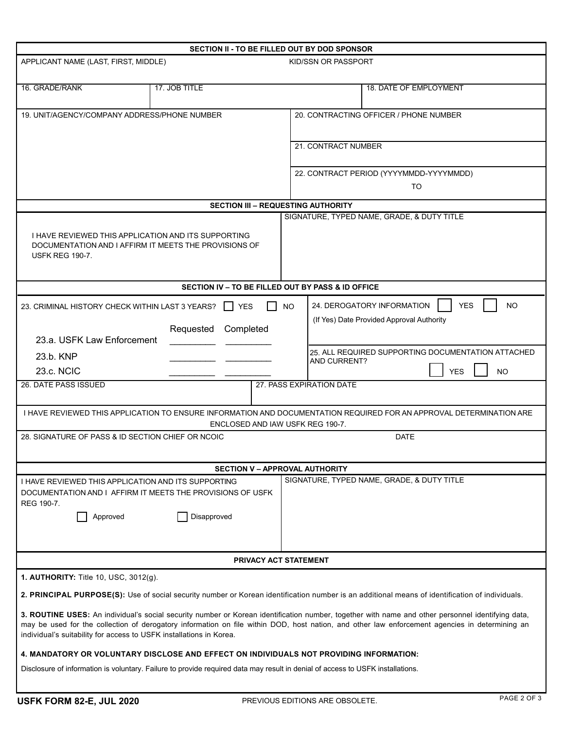| SECTION II - TO BE FILLED OUT BY DOD SPONSOR                                                                                                                                                                                                                                                                                                                               |                                                                                               |                                        |                                               |                                                                                                                 |                                            |  |  |  |  |  |
|----------------------------------------------------------------------------------------------------------------------------------------------------------------------------------------------------------------------------------------------------------------------------------------------------------------------------------------------------------------------------|-----------------------------------------------------------------------------------------------|----------------------------------------|-----------------------------------------------|-----------------------------------------------------------------------------------------------------------------|--------------------------------------------|--|--|--|--|--|
| APPLICANT NAME (LAST, FIRST, MIDDLE)                                                                                                                                                                                                                                                                                                                                       |                                                                                               | KID/SSN OR PASSPORT                    |                                               |                                                                                                                 |                                            |  |  |  |  |  |
| 16. GRADE/RANK                                                                                                                                                                                                                                                                                                                                                             | 17. JOB TITLE                                                                                 |                                        |                                               |                                                                                                                 | 18. DATE OF EMPLOYMENT                     |  |  |  |  |  |
| 19. UNIT/AGENCY/COMPANY ADDRESS/PHONE NUMBER                                                                                                                                                                                                                                                                                                                               |                                                                                               | 20. CONTRACTING OFFICER / PHONE NUMBER |                                               |                                                                                                                 |                                            |  |  |  |  |  |
|                                                                                                                                                                                                                                                                                                                                                                            |                                                                                               | 21. CONTRACT NUMBER                    |                                               |                                                                                                                 |                                            |  |  |  |  |  |
|                                                                                                                                                                                                                                                                                                                                                                            |                                                                                               |                                        | 22. CONTRACT PERIOD (YYYYMMDD-YYYYMMDD)<br>TO |                                                                                                                 |                                            |  |  |  |  |  |
| <b>SECTION III - REQUESTING AUTHORITY</b>                                                                                                                                                                                                                                                                                                                                  |                                                                                               |                                        |                                               |                                                                                                                 |                                            |  |  |  |  |  |
| SIGNATURE, TYPED NAME, GRADE, & DUTY TITLE                                                                                                                                                                                                                                                                                                                                 |                                                                                               |                                        |                                               |                                                                                                                 |                                            |  |  |  |  |  |
| I HAVE REVIEWED THIS APPLICATION AND ITS SUPPORTING<br>DOCUMENTATION AND I AFFIRM IT MEETS THE PROVISIONS OF<br><b>USFK REG 190-7.</b>                                                                                                                                                                                                                                     |                                                                                               |                                        |                                               |                                                                                                                 |                                            |  |  |  |  |  |
| SECTION IV - TO BE FILLED OUT BY PASS & ID OFFICE                                                                                                                                                                                                                                                                                                                          |                                                                                               |                                        |                                               |                                                                                                                 |                                            |  |  |  |  |  |
| <b>YES</b><br>23. CRIMINAL HISTORY CHECK WITHIN LAST 3 YEARS?<br>Requested Completed                                                                                                                                                                                                                                                                                       |                                                                                               |                                        |                                               | <b>YES</b><br>24. DEROGATORY INFORMATION<br><b>NO</b><br><b>NO</b><br>(If Yes) Date Provided Approval Authority |                                            |  |  |  |  |  |
| 23.a. USFK Law Enforcement                                                                                                                                                                                                                                                                                                                                                 |                                                                                               |                                        |                                               |                                                                                                                 |                                            |  |  |  |  |  |
| 23.b. KNP<br>23.c. NCIC                                                                                                                                                                                                                                                                                                                                                    | 25. ALL REQUIRED SUPPORTING DOCUMENTATION ATTACHED<br>AND CURRENT?<br><b>YES</b><br><b>NO</b> |                                        |                                               |                                                                                                                 |                                            |  |  |  |  |  |
| 26. DATE PASS ISSUED                                                                                                                                                                                                                                                                                                                                                       |                                                                                               |                                        |                                               | 27. PASS EXPIRATION DATE                                                                                        |                                            |  |  |  |  |  |
| I HAVE REVIEWED THIS APPLICATION TO ENSURE INFORMATION AND DOCUMENTATION REQUIRED FOR AN APPROVAL DETERMINATION ARE                                                                                                                                                                                                                                                        |                                                                                               |                                        |                                               |                                                                                                                 |                                            |  |  |  |  |  |
| ENCLOSED AND IAW USFK REG 190-7.                                                                                                                                                                                                                                                                                                                                           |                                                                                               |                                        |                                               |                                                                                                                 |                                            |  |  |  |  |  |
| 28. SIGNATURE OF PASS & ID SECTION CHIEF OR NCOIC<br><b>DATE</b>                                                                                                                                                                                                                                                                                                           |                                                                                               |                                        |                                               |                                                                                                                 |                                            |  |  |  |  |  |
|                                                                                                                                                                                                                                                                                                                                                                            |                                                                                               |                                        |                                               | <b>SECTION V - APPROVAL AUTHORITY</b>                                                                           |                                            |  |  |  |  |  |
| I HAVE REVIEWED THIS APPLICATION AND ITS SUPPORTING<br>DOCUMENTATION AND I AFFIRM IT MEETS THE PROVISIONS OF USFK<br>REG 190-7.<br>Approved                                                                                                                                                                                                                                | Disapproved                                                                                   |                                        |                                               |                                                                                                                 | SIGNATURE, TYPED NAME, GRADE, & DUTY TITLE |  |  |  |  |  |
| <b>PRIVACY ACT STATEMENT</b>                                                                                                                                                                                                                                                                                                                                               |                                                                                               |                                        |                                               |                                                                                                                 |                                            |  |  |  |  |  |
| <b>1. AUTHORITY: Title 10, USC, 3012(g).</b>                                                                                                                                                                                                                                                                                                                               |                                                                                               |                                        |                                               |                                                                                                                 |                                            |  |  |  |  |  |
| 2. PRINCIPAL PURPOSE(S): Use of social security number or Korean identification number is an additional means of identification of individuals.                                                                                                                                                                                                                            |                                                                                               |                                        |                                               |                                                                                                                 |                                            |  |  |  |  |  |
| 3. ROUTINE USES: An individual's social security number or Korean identification number, together with name and other personnel identifying data,<br>may be used for the collection of derogatory information on file within DOD, host nation, and other law enforcement agencies in determining an<br>individual's suitability for access to USFK installations in Korea. |                                                                                               |                                        |                                               |                                                                                                                 |                                            |  |  |  |  |  |
| 4. MANDATORY OR VOLUNTARY DISCLOSE AND EFFECT ON INDIVIDUALS NOT PROVIDING INFORMATION:                                                                                                                                                                                                                                                                                    |                                                                                               |                                        |                                               |                                                                                                                 |                                            |  |  |  |  |  |
| Disclosure of information is voluntary. Failure to provide required data may result in denial of access to USFK installations.                                                                                                                                                                                                                                             |                                                                                               |                                        |                                               |                                                                                                                 |                                            |  |  |  |  |  |

I